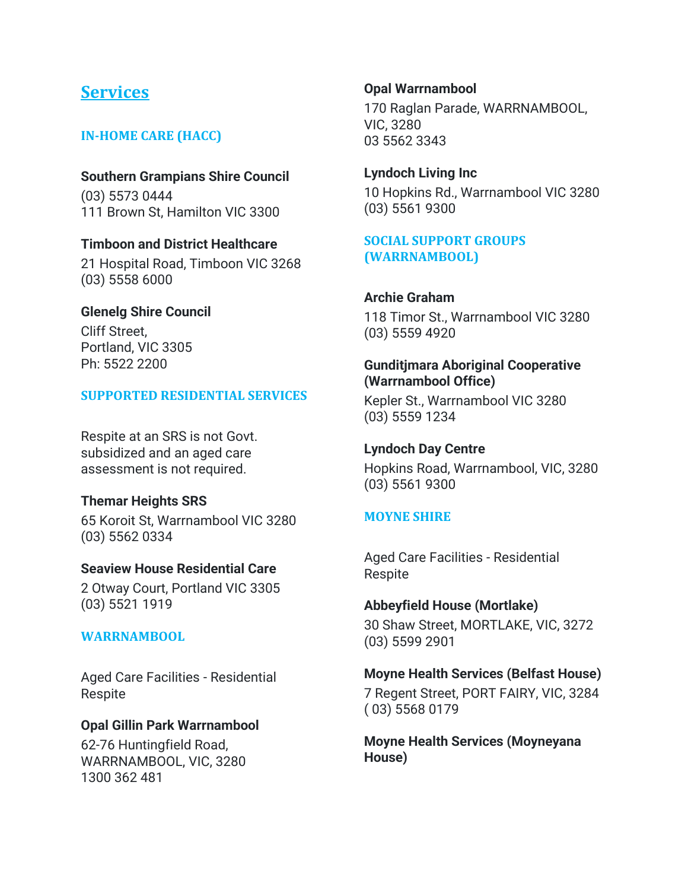# **Services**

# **IN-HOME CARE (HACC)**

**Southern Grampians Shire Council** (03) 5573 0444 111 Brown St, Hamilton VIC 3300

**Timboon and District Healthcare** 21 Hospital Road, Timboon VIC 3268 (03) 5558 6000

#### **Glenelg Shire Council**

Cliff Street, Portland, VIC 3305 Ph: 5522 2200

#### **SUPPORTED RESIDENTIAL SERVICES**

Respite at an SRS is not Govt. subsidized and an aged care assessment is not required.

#### **Themar Heights SRS**

65 Koroit St, Warrnambool VIC 3280 (03) 5562 0334

#### **Seaview House Residential Care**

2 Otway Court, Portland VIC 3305 (03) 5521 1919

#### **WARRNAMBOOL**

Aged Care Facilities - Residential Respite

#### **Opal Gillin Park Warrnambool**

62-76 Huntingfield Road, WARRNAMBOOL, VIC, 3280 1300 362 481

#### **Opal Warrnambool** 170 Raglan Parade, WARRNAMBOOL, VIC, 3280

03 5562 3343

**Lyndoch Living Inc** 10 Hopkins Rd., Warrnambool VIC 3280 (03) 5561 9300

# **SOCIAL SUPPORT GROUPS (WARRNAMBOOL)**

#### **Archie Graham**

118 Timor St., Warrnambool VIC 3280 (03) 5559 4920

#### **Gunditjmara Aboriginal Cooperative (Warrnambool Office)**

Kepler St., Warrnambool VIC 3280 (03) 5559 1234

#### **Lyndoch Day Centre**

Hopkins Road, Warrnambool, VIC, 3280 (03) 5561 9300

#### **MOYNE SHIRE**

Aged Care Facilities - Residential Respite

**Abbeyfield House (Mortlake)** 30 Shaw Street, MORTLAKE, VIC, 3272 (03) 5599 2901

#### **Moyne Health Services (Belfast House)**

7 Regent Street, PORT FAIRY, VIC, 3284 ( 03) 5568 0179

**Moyne Health Services (Moyneyana House)**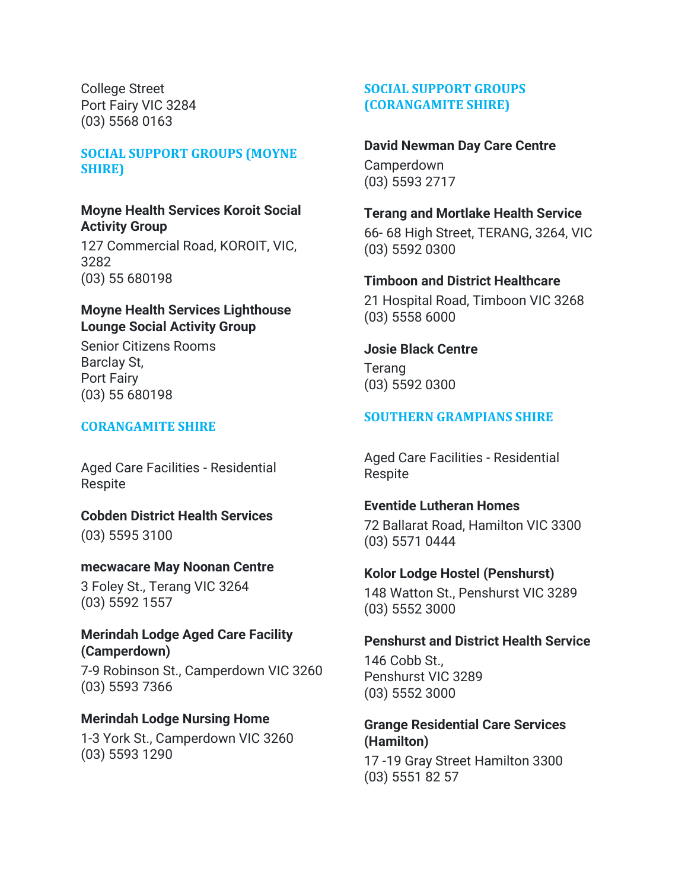College Street Port Fairy VIC 3284 (03) 5568 0163

#### **SOCIAL SUPPORT GROUPS (MOYNE SHIRE)**

#### **Moyne Health Services Koroit Social Activity Group**

127 Commercial Road, KOROIT, VIC, 3282 (03) 55 680198

#### **Moyne Health Services Lighthouse Lounge Social Activity Group**

Senior Citizens Rooms Barclay St, Port Fairy (03) 55 680198

#### **CORANGAMITE SHIRE**

Aged Care Facilities - Residential Respite

**Cobden District Health Services** (03) 5595 3100

#### **mecwacare May Noonan Centre**

3 Foley St., Terang VIC 3264 (03) 5592 1557

#### **Merindah Lodge Aged Care Facility (Camperdown)**

7-9 Robinson St., Camperdown VIC 3260 (03) 5593 7366

#### **Merindah Lodge Nursing Home**

1-3 York St., Camperdown VIC 3260 (03) 5593 1290

# **SOCIAL SUPPORT GROUPS (CORANGAMITE SHIRE)**

#### **David Newman Day Care Centre**

Camperdown (03) 5593 2717

# **Terang and Mortlake Health Service**

66- 68 High Street, TERANG, 3264, VIC (03) 5592 0300

#### **Timboon and District Healthcare**

21 Hospital Road, Timboon VIC 3268 (03) 5558 6000

#### **Josie Black Centre**

Terang (03) 5592 0300

# **SOUTHERN GRAMPIANS SHIRE**

Aged Care Facilities - Residential Respite

#### **Eventide Lutheran Homes**

72 Ballarat Road, Hamilton VIC 3300 (03) 5571 0444

#### **Kolor Lodge Hostel (Penshurst)**

148 Watton St., Penshurst VIC 3289 (03) 5552 3000

#### **Penshurst and District Health Service**

146 Cobb St., Penshurst VIC 3289 (03) 5552 3000

#### **Grange Residential Care Services (Hamilton)**

17 -19 Gray Street Hamilton 3300 (03) 5551 82 57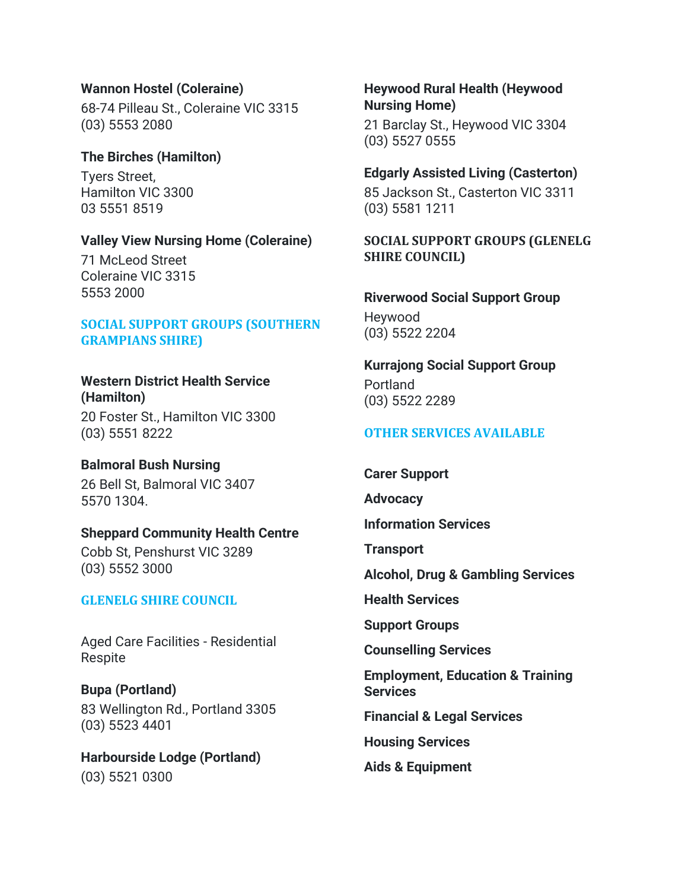#### **Wannon Hostel (Coleraine)**

68-74 Pilleau St., Coleraine VIC 3315 (03) 5553 2080

# **The Birches (Hamilton)**

Tyers Street, Hamilton VIC 3300 03 5551 8519

#### **Valley View Nursing Home (Coleraine)**

71 McLeod Street Coleraine VIC 3315 5553 2000

#### **SOCIAL SUPPORT GROUPS (SOUTHERN GRAMPIANS SHIRE)**

#### **Western District Health Service (Hamilton)**

20 Foster St., Hamilton VIC 3300 (03) 5551 8222

# **Balmoral Bush Nursing**

26 Bell St, Balmoral VIC 3407 5570 1304.

#### **Sheppard Community Health Centre**

Cobb St, Penshurst VIC 3289 (03) 5552 3000

#### **GLENELG SHIRE COUNCIL**

Aged Care Facilities - Residential Respite

**Bupa (Portland)** 83 Wellington Rd., Portland 3305 (03) 5523 4401

**Harbourside Lodge (Portland)** (03) 5521 0300

#### **Heywood Rural Health (Heywood Nursing Home)**

21 Barclay St., Heywood VIC 3304 (03) 5527 0555

#### **Edgarly Assisted Living (Casterton)**

85 Jackson St., Casterton VIC 3311 (03) 5581 1211

# **SOCIAL SUPPORT GROUPS (GLENELG SHIRE COUNCIL)**

# **Riverwood Social Support Group**

Heywood (03) 5522 2204

# **Kurrajong Social Support Group**

Portland (03) 5522 2289

# **OTHER SERVICES AVAILABLE**

**Carer Support**

**Advocacy**

**Information Services**

**Transport**

**Alcohol, Drug & Gambling Services**

**Health Services**

**Support Groups**

**Counselling Services**

**Employment, Education & Training Services**

**Financial & Legal Services**

**Housing Services**

**Aids & Equipment**